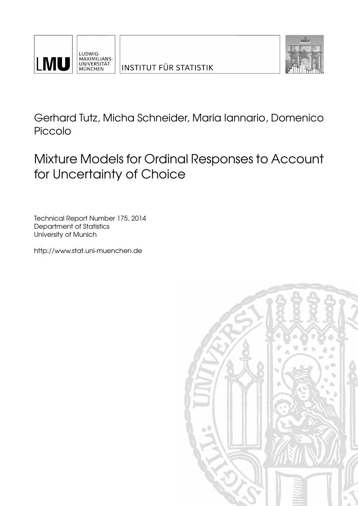



Gerhard Tutz, Micha Schneider, Maria Iannario, Domenico Piccolo

Mixture Models for Ordinal Responses to Account for Uncertainty of Choice

Technical Report Number 175, 2014 Department of Statistics University of Munich

[http://www.stat.uni-muenchen.de](http://www.stat.uni-muenchen.de/)

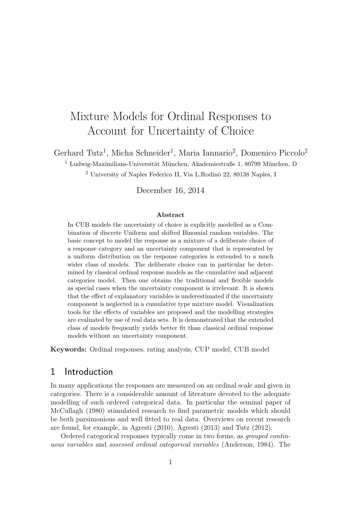# Mixture Models for Ordinal Responses to Account for Uncertainty of Choice

Gerhard Tutz<sup>1</sup>, Micha Schneider<sup>1</sup>, Maria Iannario<sup>2</sup>, Domenico Piccolo<sup>2</sup>

 $^1$  Ludwig-Maximilians-Universität München, Akademiestraße 1, 80799 München, D

 $2$  University of Naples Federico II, Via L.Rodinò 22, 80138 Naples, I

December 16, 2014

#### Abstract

In CUB models the uncertainty of choice is explicitly modelled as a Combination of discrete Uniform and shifted Binomial random variables. The basic concept to model the response as a mixture of a deliberate choice of a response category and an uncertainty component that is represented by a uniform distribution on the response categories is extended to a much wider class of models. The deliberate choice can in particular be determined by classical ordinal response models as the cumulative and adjacent categories model. Then one obtains the traditional and flexible models as special cases when the uncertainty component is irrelevant. It is shown that the effect of explanatory variables is underestimated if the uncertainty component is neglected in a cumulative type mixture model. Visualization tools for the effects of variables are proposed and the modelling strategies are evaluated by use of real data sets. It is demonstrated that the extended class of models frequently yields better fit than classical ordinal response models without an uncertainty component.

Keywords: Ordinal responses, rating analysis, CUP model, CUB model

### 1 Introduction

In many applications the responses are measured on an ordinal scale and given in categories. There is a considerable amount of literature devoted to the adequate modelling of such ordered categorical data. In particular the seminal paper of McCullagh (1980) stimulated research to find parametric models which should be both parsimonious and well fitted to real data. Overviews on recent research are found, for example, in Agresti (2010), Agresti (2013) and Tutz (2012).

Ordered categorical responses typically come in two forms, as grouped continuous variables and assessed ordinal categorical variables (Anderson, 1984). The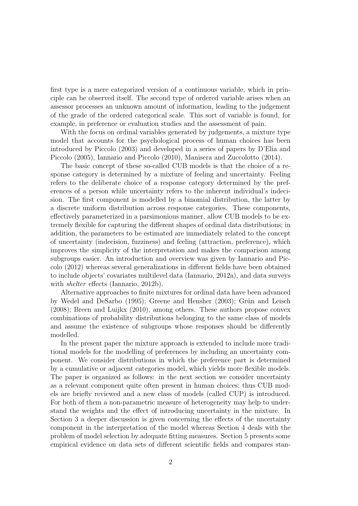first type is a mere categorized version of a continuous variable, which in principle can be observed itself. The second type of ordered variable arises when an assessor processes an unknown amount of information, leading to the judgement of the grade of the ordered categorical scale. This sort of variable is found, for example, in preference or evaluation studies and the assessment of pain.

With the focus on ordinal variables generated by judgements, a mixture type model that accounts for the psychological process of human choices has been introduced by Piccolo (2003) and developed in a series of papers by D'Elia and Piccolo (2005), Iannario and Piccolo (2010), Manisera and Zuccolotto (2014).

The basic concept of these so-called CUB models is that the choice of a response category is determined by a mixture of feeling and uncertainty. Feeling refers to the deliberate choice of a response category determined by the preferences of a person while uncertainty refers to the inherent individual's indecision. The first component is modelled by a binomial distribution, the latter by a discrete uniform distribution across response categories. These components, effectively parameterized in a parsimonious manner, allow CUB models to be extremely flexible for capturing the different shapes of ordinal data distributions; in addition, the parameters to be estimated are immediately related to the concept of uncertainty (indecision, fuzziness) and feeling (attraction, preference), which improves the simplicity of the interpretation and makes the comparison among subgroups easier. An introduction and overview was given by Iannario and Piccolo (2012) whereas several generalizations in different fields have been obtained to include objects' covariates multilevel data (Iannario, 2012a), and data surveys with *shelter* effects (Iannario, 2012b).

Alternative approaches to finite mixtures for ordinal data have been advanced by Wedel and DeSarbo  $(1995)$ ; Greene and Hensher  $(2003)$ ; Grün and Leisch (2008); Breen and Luijkx (2010), among others. These authors propose convex combinations of probability distributions belonging to the same class of models and assume the existence of subgroups whose responses should be differently modelled.

In the present paper the mixture approach is extended to include more traditional models for the modelling of preferences by including an uncertainty component. We consider distributions in which the preference part is determined by a cumulative or adjacent categories model, which yields more flexible models. The paper is organized as follows: in the next section we consider uncertainty as a relevant component quite often present in human choices; thus CUB models are briefly reviewed and a new class of models (called CUP) is introduced. For both of them a non-parametric measure of heterogeneity may help to understand the weights and the effect of introducing uncertainty in the mixture. In Section 3 a deeper discussion is given concerning the effects of the uncertainty component in the interpretation of the model whereas Section 4 deals with the problem of model selection by adequate fitting measures. Section 5 presents some empirical evidence on data sets of different scientific fields and compares stan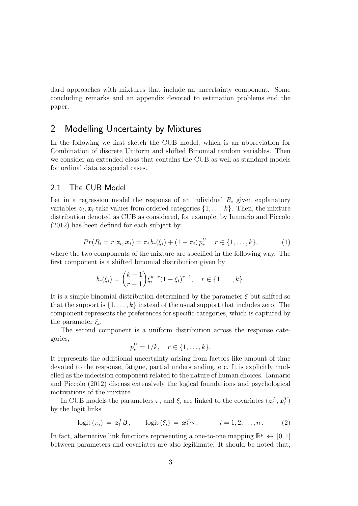dard approaches with mixtures that include an uncertainty component. Some concluding remarks and an appendix devoted to estimation problems end the paper.

### 2 Modelling Uncertainty by Mixtures

In the following we first sketch the CUB model, which is an abbreviation for Combination of discrete Uniform and shifted Binomial random variables. Then we consider an extended class that contains the CUB as well as standard models for ordinal data as special cases.

### 2.1 The CUB Model

Let in a regression model the response of an individual  $R_i$  given explanatory variables  $z_i, x_i$  take values from ordered categories  $\{1, \ldots, k\}$ . Then, the mixture distribution denoted as CUB as considered, for example, by Iannario and Piccolo (2012) has been defined for each subject by

$$
Pr(R_i = r | \mathbf{z}_i, \mathbf{x}_i) = \pi_i b_r(\xi_i) + (1 - \pi_i) p_r^U \quad r \in \{1, ..., k\},
$$
 (1)

where the two components of the mixture are specified in the following way. The first component is a shifted binomial distribution given by

$$
b_r(\xi_i) = {k-1 \choose r-1} \xi_i^{k-r} (1-\xi_i)^{r-1}, \quad r \in \{1, \dots, k\}.
$$

It is a simple binomial distribution determined by the parameter  $\xi$  but shifted so that the support is  $\{1, \ldots, k\}$  instead of the usual support that includes zero. The component represents the preferences for specific categories, which is captured by the parameter  $\xi_i$ .

The second component is a uniform distribution across the response categories,

$$
p_r^U = 1/k, \quad r \in \{1, ..., k\}.
$$

It represents the additional uncertainty arising from factors like amount of time devoted to the response, fatigue, partial understanding, etc. It is explicitly modelled as the indecision component related to the nature of human choices. Iannario and Piccolo (2012) discuss extensively the logical foundations and psychological motivations of the mixture.

In CUB models the parameters  $\pi_i$  and  $\xi_i$  are linked to the covariates  $(z_i^T, x_i^T)$ by the logit links

$$
logit (\pi_i) = \mathbf{z}_i^T \boldsymbol{\beta}; \qquad logit (\xi_i) = \mathbf{x}_i^T \boldsymbol{\gamma}; \qquad i = 1, 2, ..., n. \qquad (2)
$$

In fact, alternative link functions representing a one-to-one mapping  $\mathbb{R}^p \leftrightarrow [0,1]$ between parameters and covariates are also legitimate. It should be noted that,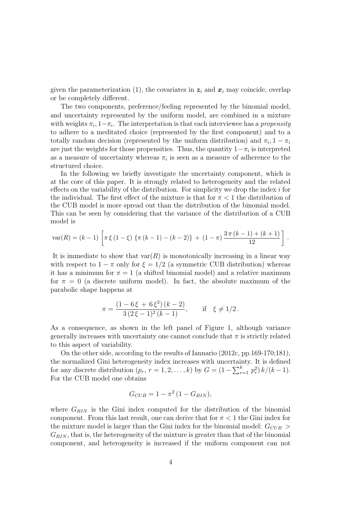given the parameterization (1), the covariates in  $z_i$  and  $x_i$  may coincide, overlap or be completely different.

The two components, preference/feeling represented by the binomial model, and uncertainty represented by the uniform model, are combined in a mixture with weights  $\pi_i$ ,  $1-\pi_i$ . The interpretation is that each interviewee has a *propensity* to adhere to a meditated choice (represented by the first component) and to a totally random decision (represented by the uniform distribution) and  $\pi_i$ ,  $1 - \pi_i$ are just the weights for those propensities. Thus, the quantity  $1 - \pi_i$  is interpreted as a measure of uncertainty whereas  $\pi_i$  is seen as a measure of adherence to the structured choice.

In the following we briefly investigate the uncertainty component, which is at the core of this paper. It is strongly related to heterogeneity and the related effects on the variability of the distribution. For simplicity we drop the index  $i$  for the individual. The first effect of the mixture is that for  $\pi < 1$  the distribution of the CUB model is more spread out than the distribution of the binomial model. This can be seen by considering that the variance of the distribution of a CUB model is

$$
var(R) = (k-1) \left[ \pi \xi (1-\xi) \left\{ \pi (k-1) - (k-2) \right\} + (1-\pi) \frac{3 \pi (k-1) + (k+1)}{12} \right].
$$

It is immediate to show that  $var(R)$  is monotonically increasing in a linear way with respect to  $1 - \pi$  only for  $\xi = 1/2$  (a symmetric CUB distribution) whereas it has a minimum for  $\pi = 1$  (a shifted binomial model) and a relative maximum for  $\pi = 0$  (a discrete uniform model). In fact, the absolute maximum of the parabolic shape happens at

$$
\pi = \frac{(1 - 6\xi + 6\xi^2)(k - 2)}{3(2\xi - 1)^2(k - 1)}, \quad \text{if } \xi \neq 1/2.
$$

As a consequence, as shown in the left panel of Figure 1, although variance generally increases with uncertainty one cannot conclude that  $\pi$  is strictly related to this aspect of variability.

On the other side, according to the results of Iannario (2012c, pp.169-170;181), the normalized Gini heterogeneity index increases with uncertainty. It is defined for any discrete distribution  $(p_r, r = 1, 2, ..., k)$  by  $G = (1 - \sum_{r=1}^k p_r^2) k/(k-1)$ . For the CUB model one obtains

$$
G_{CUB} = 1 - \pi^2 (1 - G_{BIN}),
$$

where  $G_{BIN}$  is the Gini index computed for the distribution of the binomial component. From this last result, one can derive that for  $\pi < 1$  the Gini index for the mixture model is larger than the Gini index for the binomial model:  $G_{CUB}$  $G_{BIN}$ , that is, the heterogeneity of the mixture is greater than that of the binomial component, and heterogeneity is increased if the uniform component can not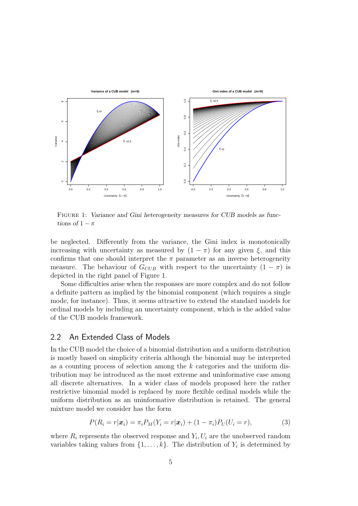

FIGURE 1: Variance and Gini heterogeneity measures for CUB models as functions of  $1 - \pi$ 

be neglected. Differently from the variance, the Gini index is monotonically increasing with uncertainty as measured by  $(1 - \pi)$  for any given  $\xi$ , and this confirms that one should interpret the  $\pi$  parameter as an inverse heterogeneity measure. The behaviour of  $G_{CUB}$  with respect to the uncertainty  $(1 - \pi)$  is depicted in the right panel of Figure 1.

Some difficulties arise when the responses are more complex and do not follow a definite pattern as implied by the binomial component (which requires a single mode, for instance). Thus, it seems attractive to extend the standard models for ordinal models by including an uncertainty component, which is the added value of the CUB models framework.

#### 2.2 An Extended Class of Models

In the CUB model the choice of a binomial distribution and a uniform distribution is mostly based on simplicity criteria although the binomial may be interpreted as a counting process of selection among the k categories and the uniform distribution may be introduced as the most extreme and uninformative case among all discrete alternatives. In a wider class of models proposed here the rather restrictive binomial model is replaced by more flexible ordinal models while the uniform distribution as an uninformative distribution is retained. The general mixture model we consider has the form

$$
P(R_i=r|\boldsymbol{x}_i)=\pi_i P_M(Y_i=r|\boldsymbol{x}_i)+(1-\pi_i)P_U(U_i=r), \qquad (3)
$$

where  $R_i$  represents the observed response and  $Y_i, U_i$  are the unobserved random variables taking values from  $\{1, \ldots, k\}$ . The distribution of  $Y_i$  is determined by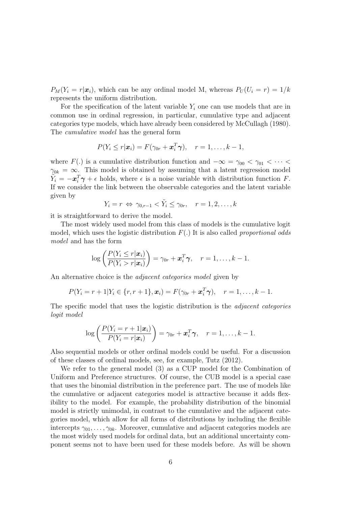$P_M(Y_i = r | \boldsymbol{x}_i)$ , which can be any ordinal model M, whereas  $P_U(U_i = r) = 1/k$ represents the uniform distribution.

For the specification of the latent variable  $Y_i$  one can use models that are in common use in ordinal regression, in particular, cumulative type and adjacent categories type models, which have already been considered by McCullagh (1980). The cumulative model has the general form

$$
P(Y_i \leq r | \boldsymbol{x}_i) = F(\gamma_{0r} + \boldsymbol{x}_i^T \boldsymbol{\gamma}), \quad r = 1, \ldots, k-1,
$$

where  $F(.)$  is a cumulative distribution function and  $-\infty = \gamma_{00} < \gamma_{01} < \cdots <$  $\gamma_{0k} = \infty$ . This model is obtained by assuming that a latent regression model  $\tilde{Y}_i = -\boldsymbol{x}_i^T \boldsymbol{\gamma} + \epsilon$  holds, where  $\epsilon$  is a noise variable with distribution function F. If we consider the link between the observable categories and the latent variable given by

$$
Y_i = r \Leftrightarrow \gamma_{0,r-1} < \tilde{Y}_i \le \gamma_{0r}, \quad r = 1, 2, \dots, k
$$

it is straightforward to derive the model.

The most widely used model from this class of models is the cumulative logit model, which uses the logistic distribution  $F(.)$  It is also called *proportional odds* model and has the form

$$
\log\left(\frac{P(Y_i \leq r|\boldsymbol{x}_i)}{P(Y_i > r|\boldsymbol{x}_i)}\right) = \gamma_{0r} + \boldsymbol{x}_i^T \boldsymbol{\gamma}, \quad r = 1, \ldots, k-1.
$$

An alternative choice is the *adjacent categories model* given by

$$
P(Y_i = r + 1 | Y_i \in \{r, r + 1\}, \mathbf{x}_i) = F(\gamma_{0r} + \mathbf{x}_i^T \boldsymbol{\gamma}), \quad r = 1, \ldots, k - 1.
$$

The specific model that uses the logistic distribution is the *adjacent categories* logit model

$$
\log\left(\frac{P(Y_i=r+1|\boldsymbol{x}_i)}{P(Y_i=r|\boldsymbol{x}_i)}\right)=\gamma_{0r}+\boldsymbol{x}_i^T\boldsymbol{\gamma},\quad r=1,\ldots,k-1.
$$

Also sequential models or other ordinal models could be useful. For a discussion of these classes of ordinal models, see, for example, Tutz (2012).

We refer to the general model (3) as a CUP model for the Combination of Uniform and Preference structures. Of course, the CUB model is a special case that uses the binomial distribution in the preference part. The use of models like the cumulative or adjacent categories model is attractive because it adds flexibility to the model. For example, the probability distribution of the binomial model is strictly unimodal, in contrast to the cumulative and the adjacent categories model, which allow for all forms of distributions by including the flexible intercepts  $\gamma_{01}, \ldots, \gamma_{0k}$ . Moreover, cumulative and adjacent categories models are the most widely used models for ordinal data, but an additional uncertainty component seems not to have been used for these models before. As will be shown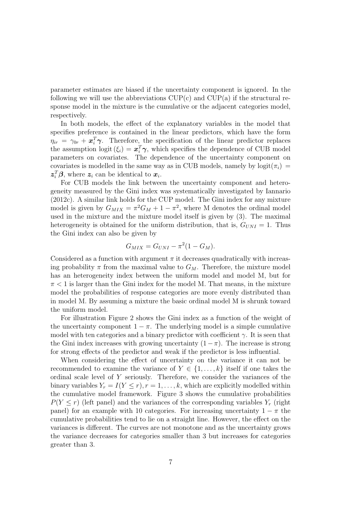parameter estimates are biased if the uncertainty component is ignored. In the following we will use the abbreviations  $CUP(c)$  and  $CUP(a)$  if the structural response model in the mixture is the cumulative or the adjacent categories model, respectively.

In both models, the effect of the explanatory variables in the model that specifies preference is contained in the linear predictors, which have the form  $\eta_{ir} = \gamma_{0r} + \boldsymbol{x}_i^T \boldsymbol{\gamma}$ . Therefore, the specification of the linear predictor replaces the assumption logit  $(\xi_i) = \boldsymbol{x}_i^T \boldsymbol{\gamma}$ , which specifies the dependence of CUB model parameters on covariates. The dependence of the uncertainty component on covariates is modelled in the same way as in CUB models, namely by logit $(\pi_i)$  =  $\boldsymbol{z}_i^T \boldsymbol{\beta}$ , where  $\boldsymbol{z}_i$  can be identical to  $\boldsymbol{x}_i$ .

For CUB models the link between the uncertainty component and heterogeneity measured by the Gini index was systematically investigated by Iannario (2012c). A similar link holds for the CUP model. The Gini index for any mixture model is given by  $G_{MIX} = \pi^2 G_M + 1 - \pi^2$ , where M denotes the ordinal model used in the mixture and the mixture model itself is given by (3). The maximal heterogeneity is obtained for the uniform distribution, that is,  $G_{UNI} = 1$ . Thus the Gini index can also be given by

$$
G_{MIX}=G_{UNI}-\pi^2(1-G_M).
$$

Considered as a function with argument  $\pi$  it decreases quadratically with increasing probability  $\pi$  from the maximal value to  $G_M$ . Therefore, the mixture model has an heterogeneity index between the uniform model and model M, but for  $\pi$  < 1 is larger than the Gini index for the model M. That means, in the mixture model the probabilities of response categories are more evenly distributed than in model M. By assuming a mixture the basic ordinal model M is shrunk toward the uniform model.

For illustration Figure 2 shows the Gini index as a function of the weight of the uncertainty component  $1 - \pi$ . The underlying model is a simple cumulative model with ten categories and a binary predictor with coefficient  $\gamma$ . It is seen that the Gini index increases with growing uncertainty  $(1 - \pi)$ . The increase is strong for strong effects of the predictor and weak if the predictor is less influential.

When considering the effect of uncertainty on the variance it can not be recommended to examine the variance of  $Y \in \{1, \ldots, k\}$  itself if one takes the ordinal scale level of Y seriously. Therefore, we consider the variances of the binary variables  $Y_r = I(Y \leq r), r = 1, \ldots, k$ , which are explicitly modelled within the cumulative model framework. Figure 3 shows the cumulative probabilities  $P(Y \leq r)$  (left panel) and the variances of the corresponding variables  $Y_r$  (right panel) for an example with 10 categories. For increasing uncertainty  $1 - \pi$  the cumulative probabilities tend to lie on a straight line. However, the effect on the variances is different. The curves are not monotone and as the uncertainty grows the variance decreases for categories smaller than 3 but increases for categories greater than 3.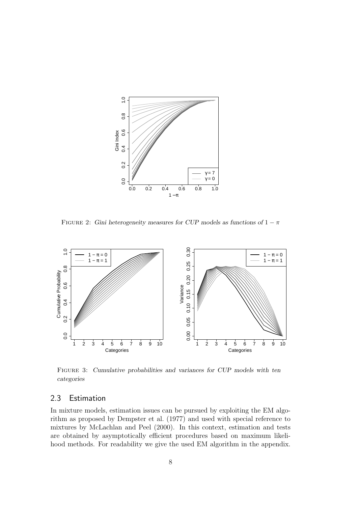

FIGURE 2: Gini heterogeneity measures for CUP models as functions of  $1 - \pi$ 



Figure 3: Cumulative probabilities and variances for CUP models with ten categories

### 2.3 Estimation

In mixture models, estimation issues can be pursued by exploiting the EM algorithm as proposed by Dempster et al. (1977) and used with special reference to mixtures by McLachlan and Peel (2000). In this context, estimation and tests are obtained by asymptotically efficient procedures based on maximum likelihood methods. For readability we give the used EM algorithm in the appendix.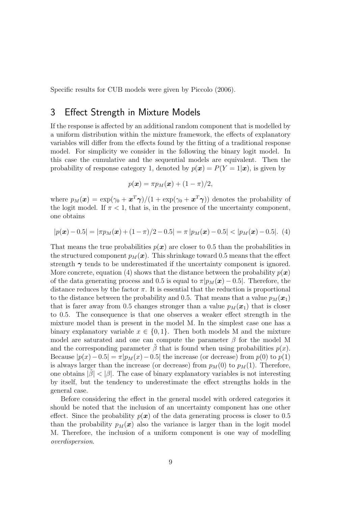Specific results for CUB models were given by Piccolo (2006).

### 3 Effect Strength in Mixture Models

If the response is affected by an additional random component that is modelled by a uniform distribution within the mixture framework, the effects of explanatory variables will differ from the effects found by the fitting of a traditional response model. For simplicity we consider in the following the binary logit model. In this case the cumulative and the sequential models are equivalent. Then the probability of response category 1, denoted by  $p(x) = P(Y = 1|x)$ , is given by

$$
p(\boldsymbol{x}) = \pi p_M(\boldsymbol{x}) + (1 - \pi)/2,
$$

where  $p_M(\bm{x}) = \exp(\gamma_0 + \bm{x}^T\bm{\gamma})/(1 + \exp(\gamma_0 + \bm{x}^T\bm{\gamma}))$  denotes the probability of the logit model. If  $\pi$  < 1, that is, in the presence of the uncertainty component, one obtains

$$
|p(\boldsymbol{x}) - 0.5| = |\pi p_M(\boldsymbol{x}) + (1 - \pi)/2 - 0.5| = \pi |p_M(\boldsymbol{x}) - 0.5| < |p_M(\boldsymbol{x}) - 0.5|.
$$
 (4)

That means the true probabilities  $p(x)$  are closer to 0.5 than the probabilities in the structured component  $p_M(x)$ . This shrinkage toward 0.5 means that the effect strength  $\gamma$  tends to be underestimated if the uncertainty component is ignored. More concrete, equation (4) shows that the distance between the probability  $p(x)$ of the data generating process and 0.5 is equal to  $\pi |p_M(\boldsymbol{x}) - 0.5|$ . Therefore, the distance reduces by the factor  $\pi$ . It is essential that the reduction is proportional to the distance between the probability and 0.5. That means that a value  $p_M(\boldsymbol{x}_1)$ that is farer away from 0.5 changes stronger than a value  $p_M(x_1)$  that is closer to 0.5. The consequence is that one observes a weaker effect strength in the mixture model than is present in the model M. In the simplest case one has a binary explanatory variable  $x \in \{0, 1\}$ . Then both models M and the mixture model are saturated and one can compute the parameter  $\beta$  for the model M and the corresponding parameter  $\beta$  that is found when using probabilities  $p(x)$ . Because  $|p(x)-0.5| = \pi |p_M(x)-0.5|$  the increase (or decrease) from  $p(0)$  to  $p(1)$ is always larger than the increase (or decrease) from  $p_M(0)$  to  $p_M(1)$ . Therefore, one obtains  $|\beta| < |\beta|$ . The case of binary explanatory variables is not interesting by itself, but the tendency to underestimate the effect strengths holds in the general case.

Before considering the effect in the general model with ordered categories it should be noted that the inclusion of an uncertainty component has one other effect. Since the probability  $p(x)$  of the data generating process is closer to 0.5 than the probability  $p_M(x)$  also the variance is larger than in the logit model M. Therefore, the inclusion of a uniform component is one way of modelling overdispersion.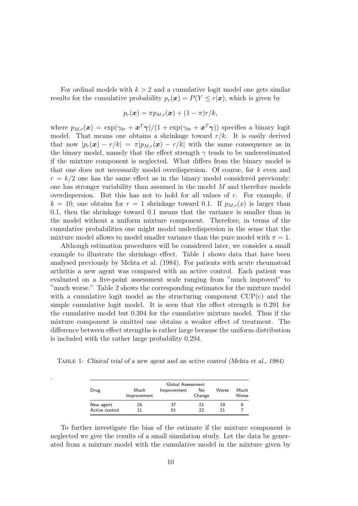For ordinal models with  $k > 2$  and a cumulative logit model one gets similar results for the cumulative probability  $p_r(\mathbf{x}) = P(Y \le r|\mathbf{x})$ , which is given by

$$
p_r(\boldsymbol{x}) = \pi p_{M,r}(\boldsymbol{x}) + (1 - \pi)r/k,
$$

where  $p_{M,r}(\bm{x}) = \exp(\gamma_{0r} + \bm{x}^T\bm{\gamma})/(1 + \exp(\gamma_{0r} + \bm{x}^T\bm{\gamma}))$  specifies a binary logit model. That means one obtains a shrinkage toward  $r/k$ . It is easily derived that now  $|p_r(x) - r/k| = \pi |p_{M,r}(x) - r/k|$  with the same consequence as in the binary model, namely that the effect strength  $\gamma$  tends to be underestimated if the mixture component is neglected. What differs from the binary model is that one does not necessarily model overdispersion. Of course, for k even and  $r = k/2$  one has the same effect as in the binary model considered previously: one has stronger variability than assumed in the model  $M$  and therefore models overdispersion. But this has not to hold for all values of  $r$ . For example, if  $k = 10$ , one obtains for  $r = 1$  shrinkage toward 0.1. If  $p_{M,r}(x)$  is larger than 0.1, then the shrinkage toward 0.1 means that the variance is smaller than in the model without a uniform mixture component. Therefore, in terms of the cumulative probabilities one might model underdispersion in the sense that the mixture model allows to model smaller variance than the pure model with  $\pi = 1$ .

Although estimation procedures will be considered later, we consider a small example to illustrate the shrinkage effect. Table 1 shows data that have been analysed previously by Mehta et al. (1984). For patients with acute rheumatoid arthritis a new agent was compared with an active control. Each patient was evaluated on a five-point assessment scale ranging from "much improved" to "much worse." Table 2 shows the corresponding estimates for the mixture model with a cumulative logit model as the structuring component  $CUP(c)$  and the simple cumulative logit model. It is seen that the effect strength is 0.291 for the cumulative model but 0.394 for the cumulative mixture model. Thus if the mixture component is omitted one obtains a weaker effect of treatment. The difference between effect strengths is rather large because the uniform distribution is included with the rather large probability 0.294.

Table 1: Clinical trial of a new agent and an active control (Mehta et al., 1984)

.

|                |                     | Global Assessment |              |       |               |
|----------------|---------------------|-------------------|--------------|-------|---------------|
| Drug           | Much<br>Improvement | Improvement       | No<br>Change | Worse | Much<br>Worse |
| New agent      | 24                  | 37                | 21           | 19    |               |
| Active control |                     | 51                | つつ           | 21    |               |

To further investigate the bias of the estimate if the mixture component is neglected we give the results of a small simulation study. Let the data be generated from a mixture model with the cumulative model in the mixture given by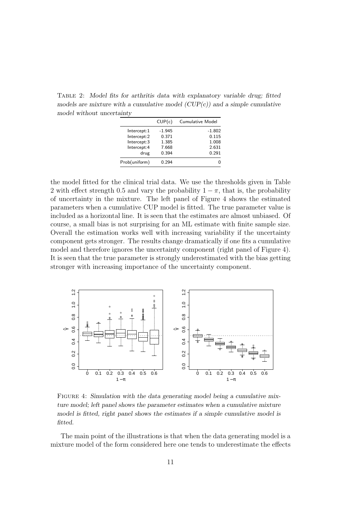Table 2: Model fits for arthritis data with explanatory variable drug; fitted models are mixture with a cumulative model  $(CUP(c))$  and a simple cumulative model without uncertainty

|               | CUP(c)   | Cumulative Model |
|---------------|----------|------------------|
| Intercept:1   | $-1.945$ | $-1.802$         |
| Intercept:2   | 0.371    | 0.115            |
| Intercept:3   | 1.385    | 1.008            |
| Intercept:4   | 7.668    | 2.631            |
| drug          | 0.394    | 0.291            |
| Prob(uniform) | በ 294    |                  |

the model fitted for the clinical trial data. We use the thresholds given in Table 2 with effect strength 0.5 and vary the probability  $1 - \pi$ , that is, the probability of uncertainty in the mixture. The left panel of Figure 4 shows the estimated parameters when a cumulative CUP model is fitted. The true parameter value is included as a horizontal line. It is seen that the estimates are almost unbiased. Of course, a small bias is not surprising for an ML estimate with finite sample size. Overall the estimation works well with increasing variability if the uncertainty component gets stronger. The results change dramatically if one fits a cumulative model and therefore ignores the uncertainty component (right panel of Figure 4). It is seen that the true parameter is strongly underestimated with the bias getting stronger with increasing importance of the uncertainty component.



FIGURE 4: Simulation with the data generating model being a cumulative mixture model; left panel shows the parameter estimates when a cumulative mixture model is fitted, right panel shows the estimates if a simple cumulative model is fitted.

The main point of the illustrations is that when the data generating model is a mixture model of the form considered here one tends to underestimate the effects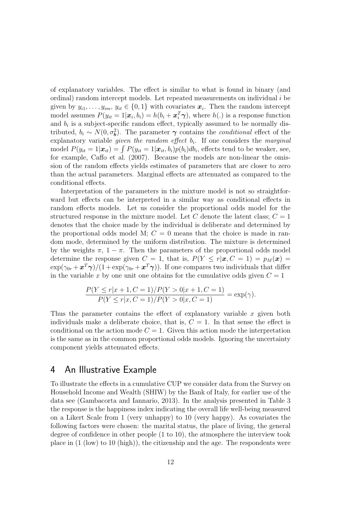of explanatory variables. The effect is similar to what is found in binary (and ordinal) random intercept models. Let repeated measurements on individual  $i$  be given by  $y_{i1}, \ldots, y_{im}, y_{it} \in \{0, 1\}$  with covariates  $\boldsymbol{x}_i$ . Then the random intercept model assumes  $P(y_{it} = 1 | \boldsymbol{x}_i, b_i) = h(b_i + \boldsymbol{x}_i^T \boldsymbol{\gamma})$ , where  $h(.)$  is a response function and  $b_i$  is a subject-specific random effect, typically assumed to be normally distributed,  $b_i \sim N(0, \sigma_b^2)$ . The parameter  $\gamma$  contains the *conditional* effect of the explanatory variable *given the random effect*  $b_i$ . If one considers the *marginal* model  $P(y_{it} = 1 | \boldsymbol{x}_{it}) = \int P(y_{it} = 1 | \boldsymbol{x}_{it}, b_i) p(b_i) db_i$ , effects tend to be weaker, see, for example, Caffo et al. (2007). Because the models are non-linear the omission of the random effects yields estimates of parameters that are closer to zero than the actual parameters. Marginal effects are attenuated as compared to the conditional effects.

Interpretation of the parameters in the mixture model is not so straightforward but effects can be interpreted in a similar way as conditional effects in random effects models. Let us consider the proportional odds model for the structured response in the mixture model. Let C denote the latent class;  $C = 1$ denotes that the choice made by the individual is deliberate and determined by the proportional odds model M;  $C = 0$  means that the choice is made in random mode, determined by the uniform distribution. The mixture is determined by the weights  $\pi$ ,  $1 - \pi$ . Then the parameters of the proportional odds model determine the response given  $C = 1$ , that is,  $P(Y \le r | \mathbf{x}, C = 1) = p_M(\mathbf{x}) =$  $\exp(\gamma_{0r} + \bm{x}^T\bm{\gamma})/(1 + \exp(\gamma_{0r} + \bm{x}^T\bm{\gamma}))$ . If one compares two individuals that differ in the variable x by one unit one obtains for the cumulative odds given  $C = 1$ 

$$
\frac{P(Y \le r | x + 1, C = 1) / P(Y > 0 | x + 1, C = 1)}{P(Y \le r | x, C = 1) / P(Y > 0 | x, C = 1)} = \exp(\gamma).
$$

Thus the parameter contains the effect of explanatory variable  $x$  given both individuals make a deliberate choice, that is,  $C = 1$ . In that sense the effect is conditional on the action mode  $C = 1$ . Given this action mode the interpretation is the same as in the common proportional odds models. Ignoring the uncertainty component yields attenuated effects.

## 4 An Illustrative Example

To illustrate the effects in a cumulative CUP we consider data from the Survey on Household Income and Wealth (SHIW) by the Bank of Italy, for earlier use of the data see (Gambacorta and Iannario, 2013). In the analysis presented in Table 3 the response is the happiness index indicating the overall life well-being measured on a Likert Scale from 1 (very unhappy) to 10 (very happy). As covariates the following factors were chosen: the marital status, the place of living, the general degree of confidence in other people (1 to 10), the atmosphere the interview took place in (1 (low) to 10 (high)), the citizenship and the age. The respondents were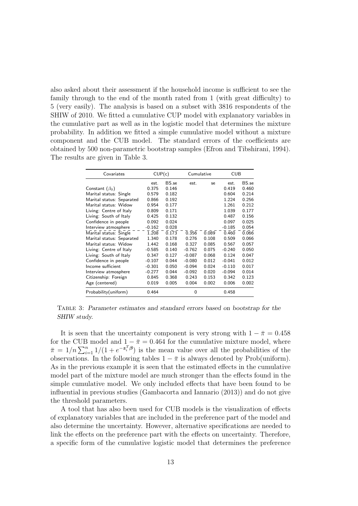also asked about their assessment if the household income is sufficient to see the family through to the end of the month rated from 1 (with great difficulty) to 5 (very easily). The analysis is based on a subset with 3816 respondents of the SHIW of 2010. We fitted a cumulative CUP model with explanatory variables in the cumulative part as well as in the logistic model that determines the mixture probability. In addition we fitted a simple cumulative model without a mixture component and the CUB model. The standard errors of the coefficients are obtained by 500 non-parametric bootstrap samples (Efron and Tibshirani, 1994). The results are given in Table 3.

| Covariates                | CUP(c)   |       |          | <b>CUB</b><br>Cumulative |          |       |
|---------------------------|----------|-------|----------|--------------------------|----------|-------|
|                           | est.     | BS.se | est.     | se                       | est.     | BS.se |
| Constant $(\beta_0)$      | 0.375    | 0.146 |          |                          | 0.419    | 0.460 |
| Marital status: Single    | 0.579    | 0.182 |          |                          | 0.604    | 0.214 |
| Marital status: Separated | 0.866    | 0.192 |          |                          | 1.224    | 0.256 |
| Marital status: Widow     | 0.954    | 0.177 |          |                          | 1.261    | 0.212 |
| Living: Centre of Italy   | 0.809    | 0.171 |          |                          | 1.039    | 0.177 |
| Living: South of Italy    | 0.425    | 0.132 |          |                          | 0.487    | 0.156 |
| Confidence in people      | 0.092    | 0.024 |          |                          | 0.097    | 0.025 |
| Interview atmosphere      | $-0.162$ | 0.028 |          |                          | $-0.185$ | 0.054 |
| Marital status: Single    | 1.208    | 0.173 | 0.356    | 0.089                    | 0.460    | 0.066 |
| Marital status: Separated | 1.340    | 0.178 | 0.276    | 0.108                    | 0.509    | 0.066 |
| Marital status: Widow     | 1.442    | 0.168 | 0.327    | 0.085                    | 0.567    | 0.057 |
| Living: Centre of Italy   | $-0.585$ | 0.140 | $-0.762$ | 0.075                    | $-0.240$ | 0.050 |
| Living: South of Italy    | 0.347    | 0.127 | $-0.087$ | 0.068                    | 0.124    | 0.047 |
| Confidence in people      | $-0.107$ | 0.044 | $-0.080$ | 0.012                    | $-0.041$ | 0.012 |
| Income sufficient         | $-0.301$ | 0.050 | $-0.094$ | 0.024                    | $-0.110$ | 0.017 |
| Interview atmosphere      | $-0.277$ | 0.044 | $-0.092$ | 0.020                    | $-0.094$ | 0.014 |
| Citizenship: Foreign      | 0.845    | 0.368 | 0.243    | 0.153                    | 0.342    | 0.123 |
| Age (centered)            | 0.019    | 0.005 | 0.004    | 0.002                    | 0.006    | 0.002 |
| Probability (uniform)     | 0.464    |       | 0        |                          | 0.458    |       |

Table 3: Parameter estimates and standard errors based on bootstrap for the SHIW study.

It is seen that the uncertainty component is very strong with  $1 - \bar{\pi} = 0.458$ for the CUB model and  $1 - \bar{\pi} = 0.464$  for the cumulative mixture model, where  $\bar{\pi} = 1/n \sum_{i=1}^n 1/(1 + e^{-z_i^T \beta})$  is the mean value over all the probabilities of the observations. In the following tables  $1 - \bar{\pi}$  is always denoted by Prob(uniform). As in the previous example it is seen that the estimated effects in the cumulative model part of the mixture model are much stronger than the effects found in the simple cumulative model. We only included effects that have been found to be influential in previous studies (Gambacorta and Iannario (2013)) and do not give the threshold parameters.

A tool that has also been used for CUB models is the visualization of effects of explanatory variables that are included in the preference part of the model and also determine the uncertainty. However, alternative specifications are needed to link the effects on the preference part with the effects on uncertainty. Therefore, a specific form of the cumulative logistic model that determines the preference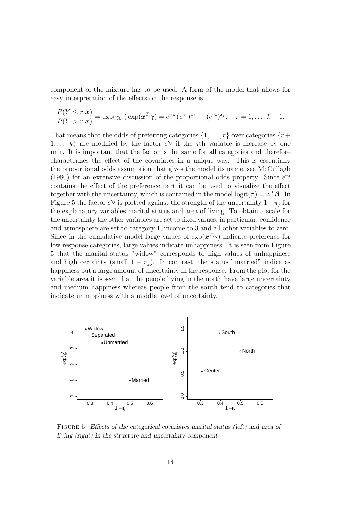component of the mixture has to be used. A form of the model that allows for easy interpretation of the effects on the response is

$$
\frac{P(Y \leq r|\boldsymbol{x})}{P(Y > r|\boldsymbol{x})} = \exp(\gamma_{0r}) \exp(\boldsymbol{x}^T\boldsymbol{\gamma}) = e^{\gamma_{0r}}(e^{\gamma_1})^{x_1} \dots (e^{\gamma_p})^{x_p}, \quad r = 1, \dots, k-1.
$$

That means that the odds of preferring categories  $\{1, \ldots, r\}$  over categories  $\{r +$ 1, ..., k} are modified by the factor  $e^{\gamma_j}$  if the *j*th variable is increase by one unit. It is important that the factor is the same for all categories and therefore characterizes the effect of the covariates in a unique way. This is essentially the proportional odds assumption that gives the model its name, see McCullagh (1980) for an extensive discussion of the proportional odds property. Since  $e^{\gamma_j}$ contains the effect of the preference part it can be used to visualize the effect together with the uncertainty, which is contained in the model  $\text{logit}(\pi) = \boldsymbol{z}^T \boldsymbol{\beta}$ . In Figure 5 the factor  $e^{\gamma_j}$  is plotted against the strength of the uncertainty  $1-\pi_j$  for the explanatory variables marital status and area of living. To obtain a scale for the uncertainty the other variables are set to fixed values, in particular, confidence and atmosphere are set to category 1, income to 3 and all other variables to zero. Since in the cumulative model large values of  $\exp(x^T \gamma)$  indicate preference for low response categories, large values indicate unhappiness. It is seen from Figure 5 that the marital status "widow" corresponds to high values of unhappiness and high certainty (small  $1 - \pi_i$ ). In contrast, the status "married" indicates happiness but a large amount of uncertainty in the response. From the plot for the variable area it is seen that the people living in the north have large uncertainty and medium happiness whereas people from the south tend to categories that indicate unhappiness with a middle level of uncertainty.



FIGURE 5: Effects of the categorical covariates marital status (left) and area of living (right) in the structure and uncertainty component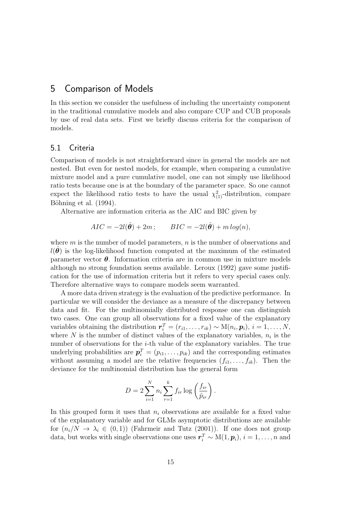### 5 Comparison of Models

In this section we consider the usefulness of including the uncertainty component in the traditional cumulative models and also compare CUP and CUB proposals by use of real data sets. First we briefly discuss criteria for the comparison of models.

### 5.1 Criteria

Comparison of models is not straightforward since in general the models are not nested. But even for nested models, for example, when comparing a cumulative mixture model and a pure cumulative model, one can not simply use likelihood ratio tests because one is at the boundary of the parameter space. So one cannot expect the likelihood ratio tests to have the usual  $\chi^2_{(1)}$ -distribution, compare Böhning et al. (1994).

Alternative are information criteria as the AIC and BIC given by

$$
AIC = -2l(\hat{\theta}) + 2m; \qquad BIC = -2l(\hat{\theta}) + m\log(n),
$$

where  $m$  is the number of model parameters,  $n$  is the number of observations and  $l(\theta)$  is the log-likelihood function computed at the maximum of the estimated parameter vector  $\theta$ . Information criteria are in common use in mixture models although no strong foundation seems available. Leroux (1992) gave some justification for the use of information criteria but it refers to very special cases only. Therefore alternative ways to compare models seem warranted.

A more data driven strategy is the evaluation of the predictive performance. In particular we will consider the deviance as a measure of the discrepancy between data and fit. For the multinomially distributed response one can distinguish two cases. One can group all observations for a fixed value of the explanatory variables obtaining the distribution  $r_i^T = (r_{i1}, \ldots, r_{ik}) \sim M(n_i, p_i), i = 1, \ldots, N$ , where N is the number of distinct values of the explanatory variables,  $n_i$  is the number of observations for the  $i$ -th value of the explanatory variables. The true underlying probabilities are  $p_i^T = (p_{i1}, \ldots, p_{ik})$  and the corresponding estimates without assuming a model are the relative frequencies  $(f_{i1}, \ldots, f_{ik})$ . Then the deviance for the multinomial distribution has the general form

$$
D = 2\sum_{i=1}^{N} n_i \sum_{r=1}^{k} f_{ir} \log\left(\frac{f_{ir}}{\hat{p}_{ir}}\right).
$$

In this grouped form it uses that  $n_i$  observations are available for a fixed value of the explanatory variable and for GLMs asymptotic distributions are available for  $(n_i/N \to \lambda_i \in (0,1))$  (Fahrmeir and Tutz (2001)). If one does not group data, but works with single observations one uses  $\boldsymbol{r}_i^T \sim M(1, \boldsymbol{p}_i)$ ,  $i = 1, \ldots, n$  and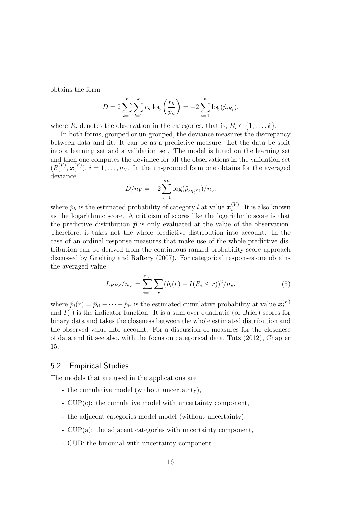obtains the form

$$
D = 2\sum_{i=1}^{n} \sum_{l=1}^{k} r_{il} \log\left(\frac{r_{il}}{\hat{p}_{il}}\right) = -2\sum_{i=1}^{n} \log(\hat{p}_{iR_i}),
$$

where  $R_i$  denotes the observation in the categories, that is,  $R_i \in \{1, \ldots, k\}$ .

In both forms, grouped or un-grouped, the deviance measures the discrepancy between data and fit. It can be as a predictive measure. Let the data be split into a learning set and a validation set. The model is fitted on the learning set and then one computes the deviance for all the observations in the validation set  $(R_i^{(V)}$  $\bm{x}_i^{(V)}, \bm{x}_i^{(V)}$  $i^{(V)}$ ,  $i = 1, ..., n_V$ . In the un-grouped form one obtains for the averaged deviance

$$
D/n_V = -2\sum_{i=1}^{n_V} \log(\hat{p}_{iR_i^{(V)}})/n_v,
$$

where  $\hat{p}_{il}$  is the estimated probability of category l at value  $\boldsymbol{x}_i^{(V)}$  $i^{(V)}$ . It is also known as the logarithmic score. A criticism of scores like the logarithmic score is that the predictive distribution  $\hat{p}$  is only evaluated at the value of the observation. Therefore, it takes not the whole predictive distribution into account. In the case of an ordinal response measures that make use of the whole predictive distribution can be derived from the continuous ranked probability score approach discussed by Gneiting and Raftery (2007). For categorical responses one obtains the averaged value

$$
L_{RPS}/n_V = \sum_{i=1}^{n_V} \sum_r (\hat{p}_i(r) - I(R_i \le r))^2 / n_v, \tag{5}
$$

where  $\hat{p}_i(r) = \hat{p}_{i1} + \cdots + \hat{p}_{ir}$  is the estimated cumulative probability at value  $\boldsymbol{x}_i^{(V)}$ i and  $I(.)$  is the indicator function. It is a sum over quadratic (or Brier) scores for binary data and takes the closeness between the whole estimated distribution and the observed value into account. For a discussion of measures for the closeness of data and fit see also, with the focus on categorical data, Tutz (2012), Chapter 15.

#### 5.2 Empirical Studies

The models that are used in the applications are

- the cumulative model (without uncertainty),
- CUP(c): the cumulative model with uncertainty component,
- the adjacent categories model model (without uncertainty),
- CUP(a): the adjacent categories with uncertainty component,
- CUB: the binomial with uncertainty component.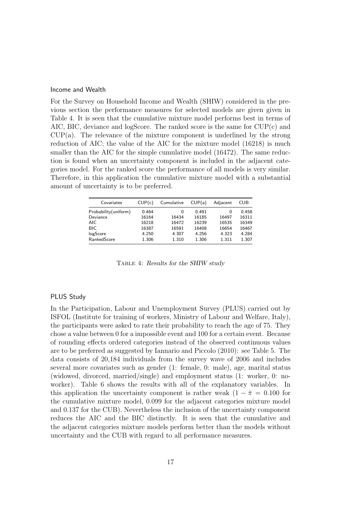#### Income and Wealth

For the Survey on Household Income and Wealth (SHIW) considered in the previous section the performance measures for selected models are given given in Table 4. It is seen that the cumulative mixture model performs best in terms of AIC, BIC, deviance and logScore. The ranked score is the same for  $CUP(c)$  and CUP(a). The relevance of the mixture component is underlined by the strong reduction of AIC; the value of the AIC for the mixture model (16218) is much smaller than the AIC for the simple cumulative model (16472). The same reduction is found when an uncertainty component is included in the adjacent categories model. For the ranked score the performance of all models is very similar. Therefore, in this application the cumulative mixture model with a substantial amount of uncertainty is to be preferred.

| Covariates            | CUP(c) | Cumulative | CUP(a) | Adjacent | CUB   |
|-----------------------|--------|------------|--------|----------|-------|
| Probability (uniform) | 0.464  | 0          | 0.491  | 0        | 0.458 |
| Deviance              | 16164  | 16434      | 16185  | 16497    | 16311 |
| AIC.                  | 16218  | 16472      | 16239  | 16535    | 16349 |
| <b>BIC</b>            | 16387  | 16591      | 16408  | 16654    | 16467 |
| logScore              | 4.250  | 4.307      | 4.256  | 4.323    | 4.284 |
| RankedScore           | 1.306  | 1.310      | 1.306  | 1.311    | 1.307 |

Table 4: Results for the SHIW study

#### PLUS Study

In the Participation, Labour and Unemployment Survey (PLUS) carried out by ISFOL (Institute for training of workers, Ministry of Labour and Welfare, Italy), the participants were asked to rate their probability to reach the age of 75. They chose a value between 0 for a impossible event and 100 for a certain event. Because of rounding effects ordered categories instead of the observed continuous values are to be preferred as suggested by Iannario and Piccolo (2010): see Table 5. The data consists of 20,184 individuals from the survey wave of 2006 and includes several more covariates such as gender (1: female, 0: male), age, marital status (widowed, divorced, married/single) and employment status (1: worker, 0: noworker). Table 6 shows the results with all of the explanatory variables. In this application the uncertainty component is rather weak  $(1 - \bar{\pi} = 0.100$  for the cumulative mixture model, 0.099 for the adjacent categories mixture model and 0.137 for the CUB). Nevertheless the inclusion of the uncertainty component reduces the AIC and the BIC distinctly. It is seen that the cumulative and the adjacent categories mixture models perform better than the models without uncertainty and the CUB with regard to all performance measures.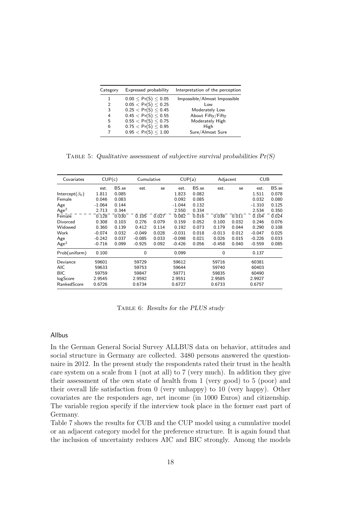| Category | Expressed probability       | Interpretation of the perception |
|----------|-----------------------------|----------------------------------|
| 1        | $0.00 \leq Pr(S) \leq 0.05$ | Impossible/Almost Impossible     |
| 2        | $0.05 < Pr(S) \leq 0.25$    | $\sim$                           |
| 3        | 0.25 < Pr(S) < 0.45         | Moderately Low                   |
| 4        | 0.45 < Pr(S) < 0.55         | About Fifty/Fifty                |
| 5        | 0.55 < Pr(S) < 0.75         | Moderately High                  |
| 6        | $0.75 < Pr(S) \leq 0.95$    | High                             |
| 7        | 0.95 < Pr(S) < 1.00         | Sure/Almost Sure                 |

TABLE 5: Qualitative assessment of subjective survival probabilities  $Pr(S)$ 

| Covariates             |          | CUP(c) |          | Cumulative |          | CUP(a) |          | Adjacent |          | <b>CUB</b> |  |
|------------------------|----------|--------|----------|------------|----------|--------|----------|----------|----------|------------|--|
|                        | est.     | BS.se  | est.     | se         | est.     | BS.se  | est.     | se       | est.     | BS.se      |  |
| Intercept( $\beta_0$ ) | 1.811    | 0.085  |          |            | 1.823    | 0.082  |          |          | 1.511    | 0.078      |  |
| Female                 | 0.046    | 0.083  |          |            | 0.092    | 0.085  |          |          | 0.032    | 0.080      |  |
| Age                    | $-1.064$ | 0.144  |          |            | $-1.044$ | 0.132  |          |          | $-1.310$ | 0.125      |  |
| Age <sup>2</sup>       | 2.713    | 0.344  |          |            | 2.550    | 0.334  |          |          | 2.534    | 0.350      |  |
| Female                 | 0.128    | 0.030  | 0.105    | 0.027      | 0.082    | 0.016  | 0.038    | 0.011    | 0.104    | 0.024      |  |
| Divorced               | 0.308    | 0.103  | 0.276    | 0.079      | 0.159    | 0.052  | 0.100    | 0.032    | 0.246    | 0.076      |  |
| Widowed                | 0.360    | 0.139  | 0.412    | 0.114      | 0.192    | 0.073  | 0.179    | 0.044    | 0.290    | 0.108      |  |
| Work                   | $-0.074$ | 0.032  | $-0.049$ | 0.028      | $-0.031$ | 0.018  | $-0.013$ | 0.012    | $-0.047$ | 0.025      |  |
| Age                    | $-0.242$ | 0.037  | $-0.085$ | 0.033      | $-0.098$ | 0.021  | 0.026    | 0.015    | $-0.226$ | 0.033      |  |
| Age <sup>2</sup>       | $-0.716$ | 0.099  | $-0.925$ | 0.092      | $-0.426$ | 0.056  | $-0.458$ | 0.040    | $-0.559$ | 0.085      |  |
| Prob(uniform)          | 0.100    |        | 0        |            | 0.099    |        | 0        |          | 0.137    |            |  |
| Deviance               | 59601    |        | 59729    |            | 59612    |        | 59716    |          | 60381    |            |  |
| AIC                    | 59633    |        | 59753    |            | 59644    |        | 59740    |          | 60403    |            |  |
| BIC                    | 59759    |        | 59847    |            | 59771    |        | 59835    |          | 60490    |            |  |
| logScore               | 2.9545   |        | 2.9592   |            | 2.9551   |        | 2.9585   |          | 2.9927   |            |  |
| RankedScore            | 0.6726   |        | 0.6734   |            | 0.6727   |        | 0.6733   |          | 0.6757   |            |  |

Table 6: Results for the PLUS study

#### Allbus

In the German General Social Survey ALLBUS data on behavior, attitudes and social structure in Germany are collected. 3480 persons answered the questionnaire in 2012. In the present study the respondents rated their trust in the health care system on a scale from 1 (not at all) to 7 (very much). In addition they give their assessment of the own state of health from 1 (very good) to 5 (poor) and their overall life satisfaction from 0 (very unhappy) to 10 (very happy). Other covariates are the responders age, net income (in 1000 Euros) and citizenship. The variable region specify if the interview took place in the former east part of Germany.

Table 7 shows the results for CUB and the CUP model using a cumulative model or an adjacent category model for the preference structure. It is again found that the inclusion of uncertainty reduces AIC and BIC strongly. Among the models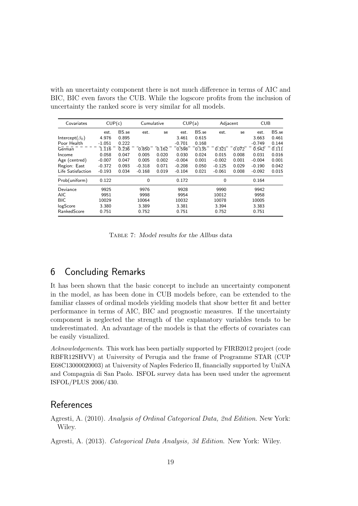with an uncertainty component there is not much difference in terms of AIC and BIC, BIC even favors the CUB. While the logscore profits from the inclusion of uncertainty the ranked score is very similar for all models.

| Covariates             | CUP(c)   |       | Cumulative |       | CUP(a)   |       | Adjacent |       | <b>CUB</b> |       |
|------------------------|----------|-------|------------|-------|----------|-------|----------|-------|------------|-------|
|                        | est.     | BS.se | est.       | se    | est.     | BS.se | est.     | se    | est.       | BS.se |
| Intercept( $\beta_0$ ) | 4.976    | 0.895 |            |       | 3.461    | 0.615 |          |       | 3.663      | 0.461 |
| Poor Health            | $-1.051$ | 0.222 |            |       | $-0.701$ | 0.168 |          |       | $-0.749$   | 0.144 |
| German                 | 1.116    | 0.236 | 0.850      | 0.162 | 0.598    | 0.135 | 0.321    | 0.072 | 0.542      | 0.111 |
| Income                 | 0.058    | 0.047 | 0.005      | 0.020 | 0.030    | 0.024 | 0.015    | 0.008 | 0.031      | 0.016 |
| Age (centred)          | $-0.007$ | 0.047 | 0.005      | 0.002 | $-0.004$ | 0.001 | $-0.002$ | 0.001 | $-0.004$   | 0.001 |
| Region: East           | $-0.372$ | 0.093 | $-0.318$   | 0.071 | $-0.208$ | 0.050 | $-0.125$ | 0.029 | $-0.190$   | 0.042 |
| Life Satisfaction      | $-0.193$ | 0.034 | $-0.168$   | 0.019 | $-0.104$ | 0.021 | $-0.061$ | 0.008 | $-0.092$   | 0.015 |
| Prob(uniform)          | 0.122    |       | 0          |       | 0.172    |       | 0        |       | 0.164      |       |
| Deviance               | 9925     |       | 9976       |       | 9928     |       | 9990     |       | 9942       |       |
| <b>AIC</b>             | 9951     |       | 9998       |       | 9954     |       | 10012    |       | 9958       |       |
| <b>BIC</b>             | 10029    |       | 10064      |       | 10032    |       | 10078    |       | 10005      |       |
| logScore               | 3.380    |       | 3.389      |       | 3.381    |       | 3.394    |       | 3.383      |       |
| RankedScore            | 0.751    |       | 0.752      |       | 0.751    |       | 0.752    |       | 0.751      |       |

Table 7: Model results for the Allbus data

# 6 Concluding Remarks

It has been shown that the basic concept to include an uncertainty component in the model, as has been done in CUB models before, can be extended to the familiar classes of ordinal models yielding models that show better fit and better performance in terms of AIC, BIC and prognostic measures. If the uncertainty component is neglected the strength of the explanatory variables tends to be underestimated. An advantage of the models is that the effects of covariates can be easily visualized.

Acknowledgements. This work has been partially supported by FIRB2012 project (code RBFR12SHVV) at University of Perugia and the frame of Programme STAR (CUP E68C13000020003) at University of Naples Federico II, financially supported by UniNA and Compagnia di San Paolo. ISFOL survey data has been used under the agreement ISFOL/PLUS 2006/430.

### References

Agresti, A. (2010). Analysis of Ordinal Categorical Data, 2nd Edition. New York: Wiley.

Agresti, A. (2013). Categorical Data Analysis, 3d Edition. New York: Wiley.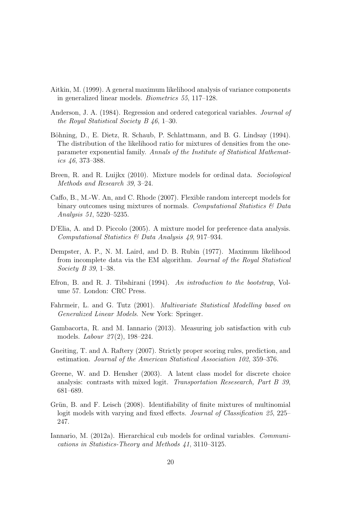- Aitkin, M. (1999). A general maximum likelihood analysis of variance components in generalized linear models. Biometrics 55, 117–128.
- Anderson, J. A. (1984). Regression and ordered categorical variables. Journal of the Royal Statistical Society B 46, 1–30.
- Böhning, D., E. Dietz, R. Schaub, P. Schlattmann, and B. G. Lindsay (1994). The distribution of the likelihood ratio for mixtures of densities from the oneparameter exponential family. Annals of the Institute of Statistical Mathematics 46, 373–388.
- Breen, R. and R. Luijkx (2010). Mixture models for ordinal data. Sociological Methods and Research 39, 3–24.
- Caffo, B., M.-W. An, and C. Rhode (2007). Flexible random intercept models for binary outcomes using mixtures of normals. Computational Statistics  $\mathcal{B}$  Data Analysis 51, 5220–5235.
- D'Elia, A. and D. Piccolo (2005). A mixture model for preference data analysis. Computational Statistics & Data Analysis 49, 917–934.
- Dempster, A. P., N. M. Laird, and D. B. Rubin (1977). Maximum likelihood from incomplete data via the EM algorithm. Journal of the Royal Statistical Society B 39, 1–38.
- Efron, B. and R. J. Tibshirani (1994). An introduction to the bootstrap, Volume 57. London: CRC Press.
- Fahrmeir, L. and G. Tutz (2001). Multivariate Statistical Modelling based on Generalized Linear Models. New York: Springer.
- Gambacorta, R. and M. Iannario (2013). Measuring job satisfaction with cub models. *Labour* 27(2), 198-224.
- Gneiting, T. and A. Raftery (2007). Strictly proper scoring rules, prediction, and estimation. Journal of the American Statistical Association 102, 359–376.
- Greene, W. and D. Hensher (2003). A latent class model for discrete choice analysis: contrasts with mixed logit. Transportation Resesearch, Part B 39, 681–689.
- Grün, B. and F. Leisch (2008). Identifiability of finite mixtures of multinomial logit models with varying and fixed effects. Journal of Classification 25, 225– 247.
- Iannario, M. (2012a). Hierarchical cub models for ordinal variables. Communications in Statistics-Theory and Methods 41, 3110–3125.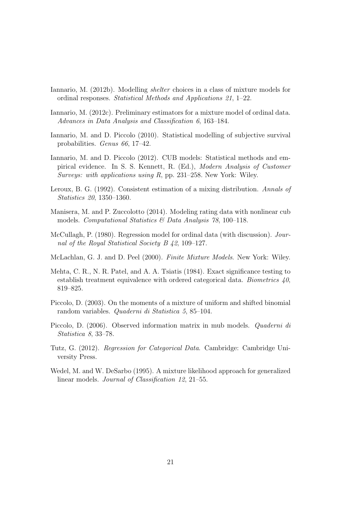- Iannario, M. (2012b). Modelling shelter choices in a class of mixture models for ordinal responses. Statistical Methods and Applications 21, 1–22.
- Iannario, M. (2012c). Preliminary estimators for a mixture model of ordinal data. Advances in Data Analysis and Classification 6, 163–184.
- Iannario, M. and D. Piccolo (2010). Statistical modelling of subjective survival probabilities. Genus 66, 17–42.
- Iannario, M. and D. Piccolo (2012). CUB models: Statistical methods and empirical evidence. In S. S. Kennett, R. (Ed.), Modern Analysis of Customer Surveys: with applications using R, pp. 231–258. New York: Wiley.
- Leroux, B. G. (1992). Consistent estimation of a mixing distribution. Annals of Statistics 20, 1350–1360.
- Manisera, M. and P. Zuccolotto (2014). Modeling rating data with nonlinear cub models. Computational Statistics  $\mathcal{B}$  Data Analysis 78, 100–118.
- McCullagh, P. (1980). Regression model for ordinal data (with discussion). Journal of the Royal Statistical Society B 42, 109–127.
- McLachlan, G. J. and D. Peel (2000). Finite Mixture Models. New York: Wiley.
- Mehta, C. R., N. R. Patel, and A. A. Tsiatis (1984). Exact significance testing to establish treatment equivalence with ordered categorical data. Biometrics  $40$ , 819–825.
- Piccolo, D. (2003). On the moments of a mixture of uniform and shifted binomial random variables. Quaderni di Statistica 5, 85–104.
- Piccolo, D. (2006). Observed information matrix in mub models. Quaderni di Statistica 8, 33–78.
- Tutz, G. (2012). Regression for Categorical Data. Cambridge: Cambridge University Press.
- Wedel, M. and W. DeSarbo (1995). A mixture likelihood approach for generalized linear models. Journal of Classification 12, 21–55.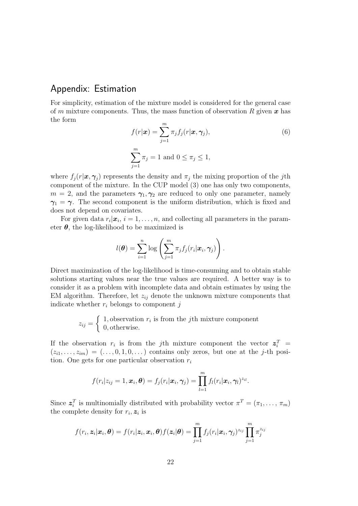## Appendix: Estimation

For simplicity, estimation of the mixture model is considered for the general case of m mixture components. Thus, the mass function of observation R given  $x$  has the form

$$
f(r|\boldsymbol{x}) = \sum_{j=1}^{m} \pi_j f_j(r|\boldsymbol{x}, \boldsymbol{\gamma}_j),
$$
  

$$
\sum_{j=1}^{m} \pi_j = 1 \text{ and } 0 \le \pi_j \le 1,
$$
 (6)

where  $f_j(r|\boldsymbol{x}, \boldsymbol{\gamma}_j)$  represents the density and  $\pi_j$  the mixing proportion of the jth component of the mixture. In the CUP model (3) one has only two components,  $m = 2$ , and the parameters  $\gamma_1, \gamma_2$  are reduced to only one parameter, namely  $\gamma_1 = \gamma$ . The second component is the uniform distribution, which is fixed and does not depend on covariates.

For given data  $r_i | \mathbf{x}_i, i = 1, ..., n$ , and collecting all parameters in the parameter  $\theta$ , the log-likelihood to be maximized is

$$
l(\boldsymbol{\theta}) = \sum_{i=1}^n \log \left( \sum_{j=1}^m \pi_j f_j(r_i|\boldsymbol{x}_i,\boldsymbol{\gamma}_j) \right).
$$

Direct maximization of the log-likelihood is time-consuming and to obtain stable solutions starting values near the true values are required. A better way is to consider it as a problem with incomplete data and obtain estimates by using the EM algorithm. Therefore, let  $z_{ij}$  denote the unknown mixture components that indicate whether  $r_i$  belongs to component j

$$
z_{ij} = \begin{cases} 1, \text{observation } r_i \text{ is from the } j\text{th mixture component} \\ 0, \text{otherwise.} \end{cases}
$$

If the observation  $r_i$  is from the jth mixture component the vector  $z_i^T$  =  $(z_{i1}, \ldots, z_{im}) = (\ldots, 0, 1, 0, \ldots)$  contains only zeros, but one at the j-th position. One gets for one particular observation  $r_i$ 

$$
f(r_i|z_{ij}=1,\boldsymbol{x}_i,\boldsymbol{\theta})=f_j(r_i|\boldsymbol{x}_i,\boldsymbol{\gamma}_j)=\prod_{l=1}^m f_l(r_i|\boldsymbol{x}_i,\boldsymbol{\gamma}_l)^{z_{il}}.
$$

Since  $z_i^T$  is multinomially distributed with probability vector  $\pi^T = (\pi_1, \ldots, \pi_m)$ the complete density for  $r_i, z_i$  is

$$
f(r_i, \mathbf{z}_i|\mathbf{x}_i, \boldsymbol{\theta}) = f(r_i|\mathbf{z}_i, \mathbf{x}_i, \boldsymbol{\theta})f(\mathbf{z}_i|\boldsymbol{\theta}) = \prod_{j=1}^m f_j(r_i|\mathbf{x}_i, \boldsymbol{\gamma}_j)^{z_{ij}} \prod_{j=1}^m \pi_j^{z_{ij}}
$$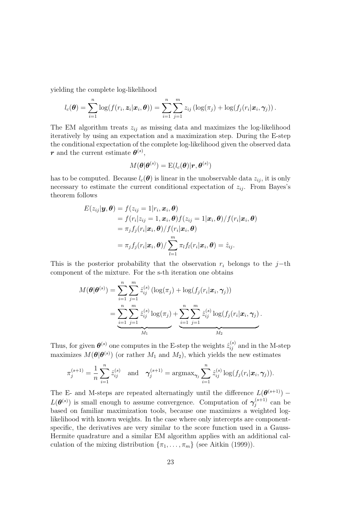yielding the complete log-likelihood

$$
l_c(\boldsymbol{\theta}) = \sum_{i=1}^n \log(f(r_i, \boldsymbol{z}_i | \boldsymbol{x}_i, \boldsymbol{\theta})) = \sum_{i=1}^n \sum_{j=1}^m z_{ij} \left( \log(\pi_j) + \log(f_j(r_i | \boldsymbol{x}_i, \boldsymbol{\gamma}_j)) \right).
$$

The EM algorithm treats  $z_{ij}$  as missing data and maximizes the log-likelihood iteratively by using an expectation and a maximization step. During the E-step the conditional expectation of the complete log-likelihood given the observed data **r** and the current estimate  $\theta^{(s)}$ ,

$$
M(\boldsymbol{\theta}|\boldsymbol{\theta}^{(s)}) = \mathrm{E}(l_c(\boldsymbol{\theta})|\boldsymbol{r},\boldsymbol{\theta}^{(s)})
$$

has to be computed. Because  $l_c(\theta)$  is linear in the unobservable data  $z_{ij}$ , it is only necessary to estimate the current conditional expectation of  $z_{ij}$ . From Bayes's theorem follows

$$
E(z_{ij}|\mathbf{y},\boldsymbol{\theta}) = f(z_{ij} = 1|r_i, \mathbf{x}_i, \boldsymbol{\theta})
$$
  
=  $f(r_i|z_{ij} = 1, \mathbf{x}_i, \boldsymbol{\theta})f(z_{ij} = 1|\mathbf{x}_i, \boldsymbol{\theta})/f(r_i|\mathbf{x}_i, \boldsymbol{\theta})$   
=  $\pi_j f_j(r_i|\mathbf{x}_i, \boldsymbol{\theta})/f(r_i|\mathbf{x}_i, \boldsymbol{\theta})$   
=  $\pi_j f_j(r_i|\mathbf{x}_i, \boldsymbol{\theta})/ \sum_{l=1}^m \pi_l f_l(r_i|\mathbf{x}_i, \boldsymbol{\theta}) = \hat{z}_{ij}.$ 

This is the posterior probability that the observation  $r_i$  belongs to the j−th component of the mixture. For the s-th iteration one obtains

$$
M(\boldsymbol{\theta}|\boldsymbol{\theta}^{(s)}) = \sum_{i=1}^{n} \sum_{j=1}^{m} \hat{z}_{ij}^{(s)} (\log(\pi_j) + \log(f_j(r_i|\boldsymbol{x}_i, \boldsymbol{\gamma}_j))
$$
  
= 
$$
\underbrace{\sum_{i=1}^{n} \sum_{j=1}^{m} \hat{z}_{ij}^{(s)} \log(\pi_j)}_{M_1} + \underbrace{\sum_{i=1}^{n} \sum_{j=1}^{m} \hat{z}_{ij}^{(s)} \log(f_j(r_i|\boldsymbol{x}_i, \boldsymbol{\gamma}_j))}_{M_2}.
$$

Thus, for given  $\theta^{(s)}$  one computes in the E-step the weights  $\hat{z}_{ij}^{(s)}$  and in the M-step maximizes  $M(\theta | \theta^{(s)})$  (or rather  $M_1$  and  $M_2$ ), which yields the new estimates

$$
\pi_j^{(s+1)} = \frac{1}{n} \sum_{i=1}^n \hat{z}_{ij}^{(s)} \text{ and } \gamma_j^{(s+1)} = \text{argmax}_{\gamma_j} \sum_{i=1}^n \hat{z}_{ij}^{(s)} \log(f_j(r_i|\bm{x}_i, \gamma_j)).
$$

The E- and M-steps are repeated alternatingly until the difference  $L(\theta^{(s+1)})$  –  $L(\boldsymbol{\theta}^{(s)})$  is small enough to assume convergence. Computation of  $\boldsymbol{\gamma}_i^{(s+1)}$  $j^{(s+1)}$  can be based on familiar maximization tools, because one maximizes a weighted loglikelihood with known weights. In the case where only intercepts are componentspecific, the derivatives are very similar to the score function used in a Gauss-Hermite quadrature and a similar EM algorithm applies with an additional calculation of the mixing distribution  $\{\pi_1, \ldots, \pi_m\}$  (see Aitkin (1999)).